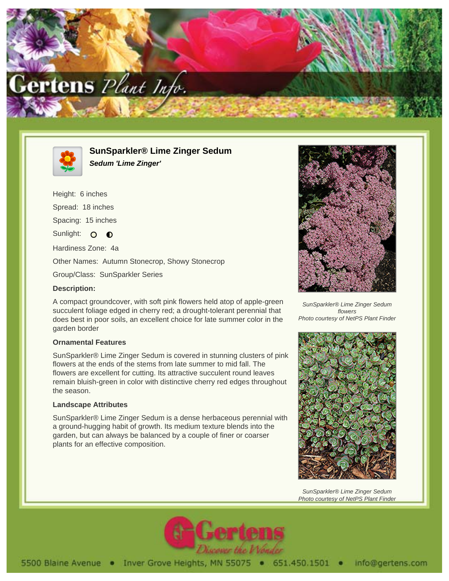



**SunSparkler® Lime Zinger Sedum Sedum 'Lime Zinger'**

Height: 6 inches Spread: 18 inches Spacing: 15 inches Sunlight: O  $\bullet$ Hardiness Zone: 4a Other Names: Autumn Stonecrop, Showy Stonecrop Group/Class: SunSparkler Series

## **Description:**

A compact groundcover, with soft pink flowers held atop of apple-green succulent foliage edged in cherry red; a drought-tolerant perennial that does best in poor soils, an excellent choice for late summer color in the garden border

## **Ornamental Features**

SunSparkler® Lime Zinger Sedum is covered in stunning clusters of pink flowers at the ends of the stems from late summer to mid fall. The flowers are excellent for cutting. Its attractive succulent round leaves remain bluish-green in color with distinctive cherry red edges throughout the season.

## **Landscape Attributes**

SunSparkler® Lime Zinger Sedum is a dense herbaceous perennial with a ground-hugging habit of growth. Its medium texture blends into the garden, but can always be balanced by a couple of finer or coarser plants for an effective composition.



SunSparkler® Lime Zinger Sedum flowers Photo courtesy of NetPS Plant Finder



SunSparkler® Lime Zinger Sedum Photo courtesy of NetPS Plant Finder